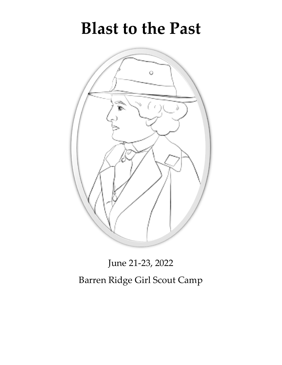# **Blast to the Past**



June 21-23, 2022 Barren Ridge Girl Scout Camp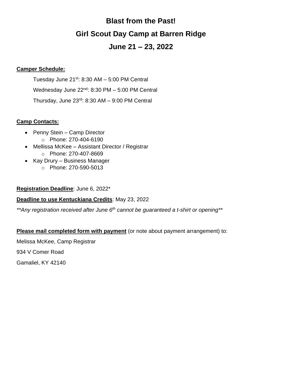# **Blast from the Past! Girl Scout Day Camp at Barren Ridge**

# **June 21 – 23, 2022**

# **Camper Schedule:**

Tuesday June  $21^{st}$ : 8:30 AM  $-$  5:00 PM Central Wednesday June 22<sup>nd</sup>: 8:30 PM – 5:00 PM Central Thursday, June 23rd: 8:30 AM – 9:00 PM Central

# **Camp Contacts:**

- Penny Stein Camp Director
	- o Phone: 270-404-6190
- Mellissa McKee Assistant Director / Registrar o Phone: 270-407-8669
- Kay Drury Business Manager
	- o Phone: 270-590-5013

# **Registration Deadline**: June 6, 2022\*

# **Deadline to use Kentuckiana Credits**: May 23, 2022

*\*\*Any registration received after June 6th cannot be guaranteed a t-shirt or opening\*\**

# **Please mail completed form with payment** (or note about payment arrangement) to:

Melissa McKee, Camp Registrar

934 V Comer Road

Gamaliel, KY 42140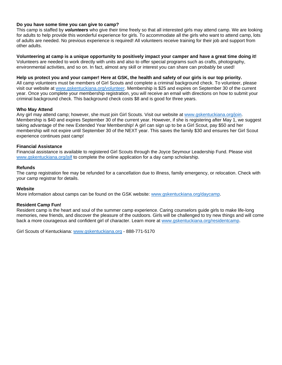#### **Do you have some time you can give to camp?**

This camp is staffed by *volunteers* who give their time freely so that all interested girls may attend camp. We are looking for adults to help provide this wonderful experience for girls. To accommodate all the girls who want to attend camp, lots of adults are needed. No previous experience is required! All volunteers receive training for their job and support from other adults.

#### **Volunteering at camp is a unique opportunity to positively impact your camper and have a great time doing it!** Volunteers are needed to work directly with units and also to offer special programs such as crafts, photography, environmental activities, and so on. In fact, almost any skill or interest you can share can probably be used!

#### **Help us protect you and your camper! Here at GSK, the health and safety of our girls is our top priority.**

All camp volunteers must be members of Girl Scouts and complete a criminal background check. To volunteer, please visit our website at [www.gskentuckiana.org/volunteer.](http://www.gskentuckiana.org/volunteer) Membership is \$25 and expires on September 30 of the current year. Once you complete your membership registration, you will receive an email with directions on how to submit your criminal background check. This background check costs \$8 and is good for three years.

#### **Who May Attend**

Any girl may attend camp; however, she must join Girl Scouts. Visit our website at [www.gskentuckiana.org/join.](http://www.gskentuckiana.org/join) Membership is \$40 and expires September 30 of the current year. However, if she is registering after May 1, we suggest taking advantage of the new Extended Year Membership! A girl can sign up to be a Girl Scout, pay \$50 and her membership will not expire until September 30 of the NEXT year. This saves the family \$30 and ensures her Girl Scout experience continues past camp!

#### **Financial Assistance**

Financial assistance is available to registered Girl Scouts through the Joyce Seymour Leadership Fund. Please visit [www.gskentuckiana.org/jslf](http://www.gskentuckiana.org/jslf) to complete the online application for a day camp scholarship.

#### **Refunds**

The camp registration fee may be refunded for a cancellation due to illness, family emergency, or relocation. Check with your camp registrar for details.

#### **Website**

More information about camps can be found on the GSK website: [www.gskentuckiana.org/daycamp.](http://www.gskentuckiana.org/daycamp)

#### **Resident Camp Fun!**

Resident camp is the heart and soul of the summer camp experience. Caring counselors guide girls to make life-long memories, new friends, and discover the pleasure of the outdoors. Girls will be challenged to try new things and will come back a more courageous and confident girl of character. Learn more at [www.gskentuckiana.org/residentcamp.](http://www.gskentuckiana.org/residentcamp)

Girl Scouts of Kentuckiana: [www.gskentuckiana.org](http://www.gskentuckiana.org/) - 888-771-5170